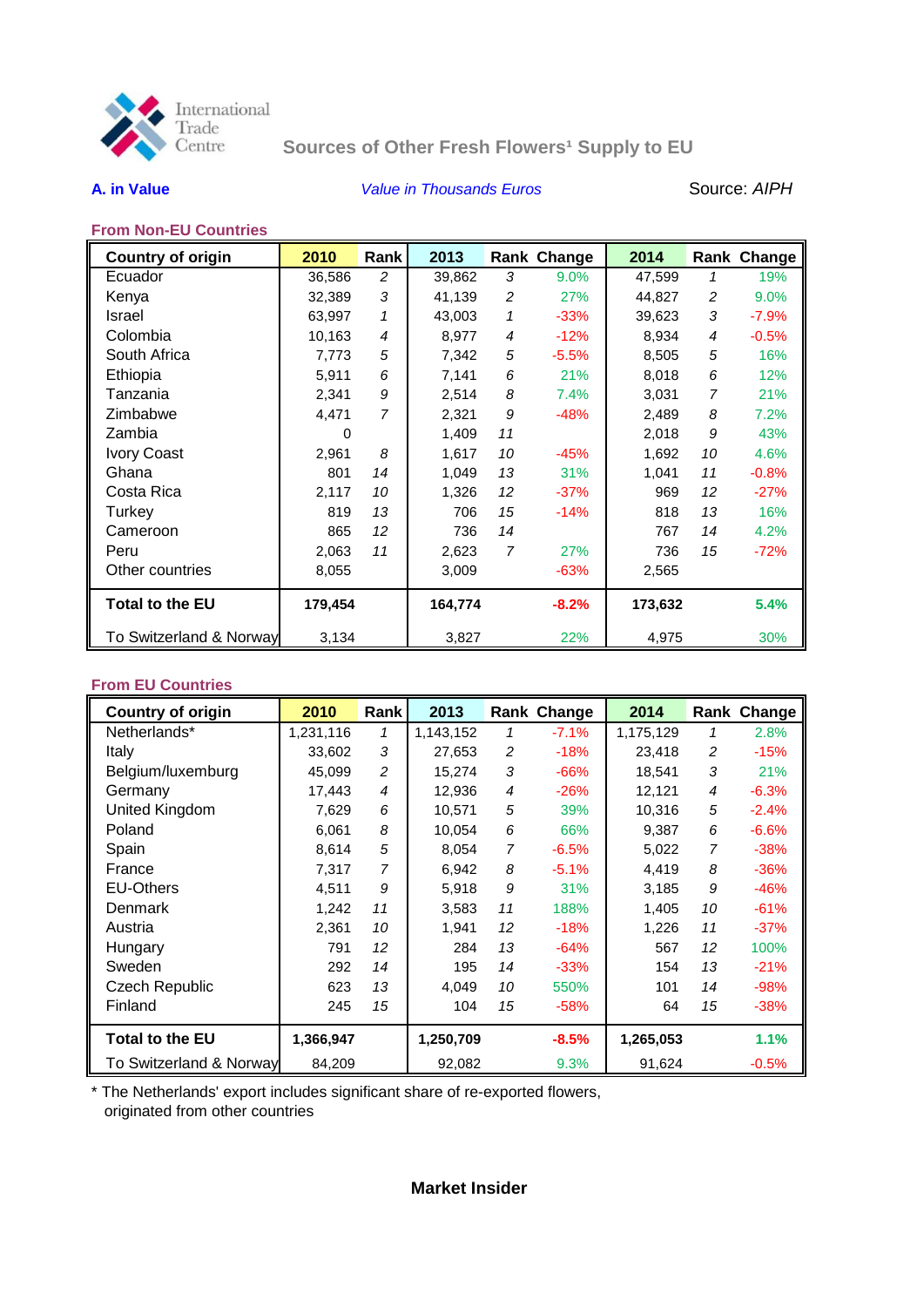

# **Sources of Other Fresh Flowers<sup>1</sup> Supply to EU**

# **A. in Value** *Value in Thousands Euros* Source: *AIPH*

# **From Non-EU Countries**

| <b>Country of origin</b> | 2010    | Rank           | 2013    |    | Rank Change | 2014    |                   | Rank Change |
|--------------------------|---------|----------------|---------|----|-------------|---------|-------------------|-------------|
| Ecuador                  | 36,586  | 2              | 39,862  | 3  | $9.0\%$     | 47.599  | 1                 | 19%         |
| Kenya                    | 32,389  | 3              | 41,139  | 2  | 27%         | 44,827  | 2                 | 9.0%        |
| <b>Israel</b>            | 63,997  | 1              | 43,003  | 1  | $-33%$      | 39,623  | 3                 | $-7.9%$     |
| Colombia                 | 10,163  | $\overline{4}$ | 8,977   | 4  | $-12%$      | 8,934   | $\overline{4}$    | $-0.5%$     |
| South Africa             | 7,773   | 5              | 7,342   | 5  | $-5.5%$     | 8,505   | 5                 | 16%         |
| Ethiopia                 | 5,911   | 6              | 7,141   | 6  | 21%         | 8,018   | 6                 | 12%         |
| Tanzania                 | 2,341   | 9              | 2,514   | 8  | 7.4%        | 3,031   | 7                 | 21%         |
| Zimbabwe                 | 4,471   | 7              | 2,321   | 9  | $-48%$      | 2,489   | 8                 | 7.2%        |
| Zambia                   | 0       |                | 1,409   | 11 |             | 2,018   | 9                 | 43%         |
| <b>Ivory Coast</b>       | 2,961   | 8              | 1,617   | 10 | $-45%$      | 1,692   | 10                | 4.6%        |
| Ghana                    | 801     | 14             | 1,049   | 13 | 31%         | 1,041   | 11                | $-0.8%$     |
| Costa Rica               | 2,117   | 10             | 1,326   | 12 | $-37%$      | 969     | $12 \overline{ }$ | $-27%$      |
| Turkey                   | 819     | 13             | 706     | 15 | $-14%$      | 818     | 13                | 16%         |
| Cameroon                 | 865     | 12             | 736     | 14 |             | 767     | 14                | 4.2%        |
| Peru                     | 2,063   | 11             | 2,623   | 7  | 27%         | 736     | 15                | $-72%$      |
| Other countries          | 8,055   |                | 3,009   |    | $-63%$      | 2,565   |                   |             |
| <b>Total to the EU</b>   | 179,454 |                | 164,774 |    | $-8.2%$     | 173,632 |                   | 5.4%        |
| To Switzerland & Norway  | 3,134   |                | 3,827   |    | 22%         | 4,975   |                   | 30%         |

### **From EU Countries**

| <b>Country of origin</b> | 2010      | Rank              | 2013      |                   | Rank Change | 2014      |                | Rank Change |
|--------------------------|-----------|-------------------|-----------|-------------------|-------------|-----------|----------------|-------------|
| Netherlands*             | 1,231,116 | 1                 | 1,143,152 | 1                 | $-7.1%$     | 1,175,129 | 1              | 2.8%        |
| Italy                    | 33,602    | 3                 | 27,653    | 2                 | $-18%$      | 23,418    | 2              | $-15%$      |
| Belgium/luxemburg        | 45,099    | $\overline{c}$    | 15,274    | 3                 | $-66%$      | 18,541    | 3              | 21%         |
| Germany                  | 17,443    | 4                 | 12,936    | 4                 | $-26%$      | 12,121    | 4              | $-6.3%$     |
| United Kingdom           | 7,629     | 6                 | 10,571    | 5                 | 39%         | 10,316    | 5              | $-2.4%$     |
| Poland                   | 6,061     | 8                 | 10,054    | 6                 | 66%         | 9,387     | 6              | $-6.6%$     |
| Spain                    | 8,614     | 5                 | 8,054     | 7                 | $-6.5%$     | 5,022     | $\overline{7}$ | $-38%$      |
| France                   | 7,317     | 7                 | 6,942     | 8                 | $-5.1%$     | 4,419     | 8              | $-36%$      |
| <b>EU-Others</b>         | 4,511     | 9                 | 5,918     | 9                 | 31%         | 3,185     | 9              | $-46%$      |
| Denmark                  | 1,242     | 11                | 3,583     | 11                | 188%        | 1.405     | 10             | $-61%$      |
| Austria                  | 2,361     | 10                | 1,941     | $12 \overline{ }$ | $-18%$      | 1,226     | 11             | $-37%$      |
| Hungary                  | 791       | $12 \overline{ }$ | 284       | 13                | $-64%$      | 567       | 12             | 100%        |
| Sweden                   | 292       | 14                | 195       | 14                | $-33%$      | 154       | 13             | $-21%$      |
| <b>Czech Republic</b>    | 623       | 13                | 4,049     | 10                | 550%        | 101       | 14             | $-98%$      |
| Finland                  | 245       | 15                | 104       | 15                | $-58%$      | 64        | 15             | $-38%$      |
| <b>Total to the EU</b>   | 1,366,947 |                   | 1,250,709 |                   | $-8.5%$     | 1,265,053 |                | 1.1%        |
| To Switzerland & Norway  | 84,209    |                   | 92,082    |                   | 9.3%        | 91,624    |                | $-0.5%$     |

\* The Netherlands' export includes significant share of re-exported flowers, originated from other countries

# **Market Insider**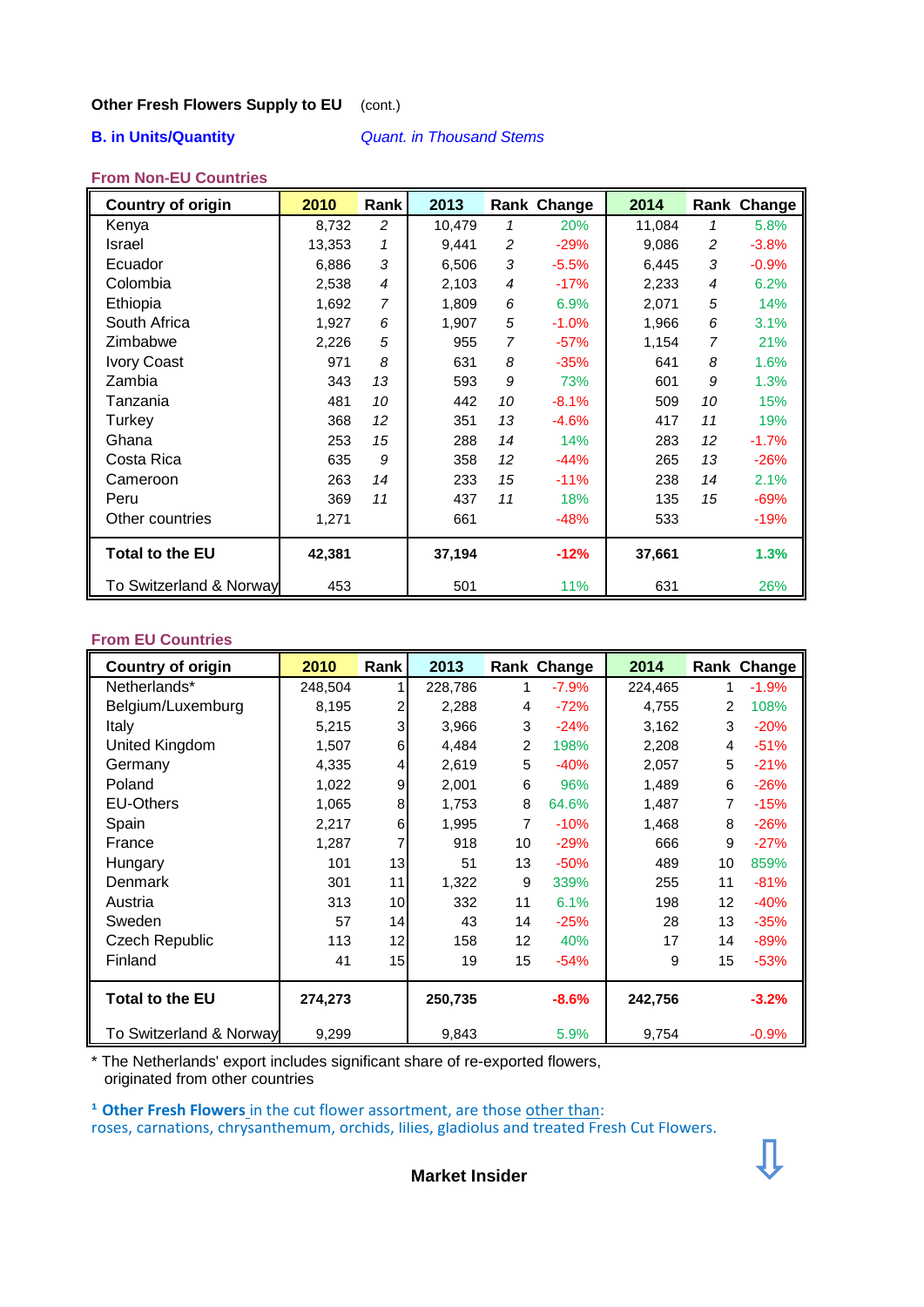### **Other Fresh Flowers Supply to EU** (cont.)

**B. in Units/Quantity** *Quant. in Thousand Stems*

### **From Non-EU Countries**

| <b>Country of origin</b> | 2010   | Rank l         | 2013   |    | Rank Change | 2014   |    | Rank Change |
|--------------------------|--------|----------------|--------|----|-------------|--------|----|-------------|
| Kenya                    | 8,732  | 2              | 10,479 | 1  | 20%         | 11,084 | 1  | 5.8%        |
| Israel                   | 13,353 | $\mathbf{1}$   | 9,441  | 2  | $-29%$      | 9,086  | 2  | $-3.8%$     |
| Ecuador                  | 6,886  | 3              | 6,506  | 3  | $-5.5%$     | 6,445  | 3  | $-0.9%$     |
| Colombia                 | 2,538  | $\overline{4}$ | 2,103  | 4  | $-17%$      | 2,233  | 4  | 6.2%        |
| Ethiopia                 | 1,692  | $\overline{7}$ | 1,809  | 6  | 6.9%        | 2,071  | 5  | 14%         |
| South Africa             | 1,927  | 6              | 1,907  | 5  | $-1.0%$     | 1,966  | 6  | 3.1%        |
| Zimbabwe                 | 2,226  | 5              | 955    | 7  | $-57%$      | 1,154  | 7  | 21%         |
| <b>Ivory Coast</b>       | 971    | 8              | 631    | 8  | $-35%$      | 641    | 8  | 1.6%        |
| Zambia                   | 343    | 13             | 593    | 9  | 73%         | 601    | 9  | 1.3%        |
| Tanzania                 | 481    | 10             | 442    | 10 | $-8.1%$     | 509    | 10 | 15%         |
| Turkey                   | 368    | 12             | 351    | 13 | $-4.6%$     | 417    | 11 | 19%         |
| Ghana                    | 253    | 15             | 288    | 14 | 14%         | 283    | 12 | $-1.7%$     |
| Costa Rica               | 635    | 9              | 358    | 12 | $-44%$      | 265    | 13 | $-26%$      |
| Cameroon                 | 263    | 14             | 233    | 15 | $-11%$      | 238    | 14 | 2.1%        |
| Peru                     | 369    | 11             | 437    | 11 | 18%         | 135    | 15 | $-69%$      |
| Other countries          | 1,271  |                | 661    |    | $-48%$      | 533    |    | $-19%$      |
| <b>Total to the EU</b>   | 42,381 |                | 37,194 |    | $-12%$      | 37,661 |    | 1.3%        |
| To Switzerland & Norway  | 453    |                | 501    |    | 11%         | 631    |    | 26%         |

# **From EU Countries**

| <b>Country of origin</b> | 2010    | Rank | 2013    |    | Rank Change | 2014    |    | Rank Change |
|--------------------------|---------|------|---------|----|-------------|---------|----|-------------|
| Netherlands*             | 248,504 |      | 228,786 | 1  | $-7.9%$     | 224,465 |    | $-1.9%$     |
| Belgium/Luxemburg        | 8,195   | 2    | 2,288   | 4  | $-72%$      | 4,755   | 2  | 108%        |
| Italy                    | 5,215   | 3    | 3,966   | 3  | $-24%$      | 3,162   | 3  | $-20%$      |
| United Kingdom           | 1,507   | 6    | 4,484   | 2  | 198%        | 2,208   | 4  | $-51%$      |
| Germany                  | 4,335   | 4    | 2,619   | 5  | $-40%$      | 2,057   | 5  | $-21%$      |
| Poland                   | 1,022   | 9    | 2,001   | 6  | 96%         | 1,489   | 6  | $-26%$      |
| <b>EU-Others</b>         | 1,065   | 8    | 1,753   | 8  | 64.6%       | 1,487   |    | $-15%$      |
| Spain                    | 2,217   | 6    | 1,995   | 7  | $-10%$      | 1,468   | 8  | $-26%$      |
| France                   | 1,287   | 7    | 918     | 10 | $-29%$      | 666     | 9  | $-27%$      |
| Hungary                  | 101     | 13   | 51      | 13 | $-50%$      | 489     | 10 | 859%        |
| Denmark                  | 301     | 11   | 1,322   | 9  | 339%        | 255     | 11 | $-81%$      |
| Austria                  | 313     | 10   | 332     | 11 | 6.1%        | 198     | 12 | $-40%$      |
| Sweden                   | 57      | 14   | 43      | 14 | $-25%$      | 28      | 13 | $-35%$      |
| <b>Czech Republic</b>    | 113     | 12   | 158     | 12 | 40%         | 17      | 14 | $-89%$      |
| Finland                  | 41      | 15   | 19      | 15 | $-54%$      | 9       | 15 | $-53%$      |
| <b>Total to the EU</b>   | 274,273 |      | 250,735 |    | $-8.6%$     | 242,756 |    | $-3.2%$     |
| To Switzerland & Norway  | 9,299   |      | 9,843   |    | 5.9%        | 9,754   |    | $-0.9%$     |

\* The Netherlands' export includes significant share of re-exported flowers, originated from other countries

<sup>1</sup> Other Fresh Flowers in the cut flower assortment, are those other than: roses, carnations, chrysanthemum, orchids, lilies, gladiolus and treated Fresh Cut Flowers.

**Market Insider**